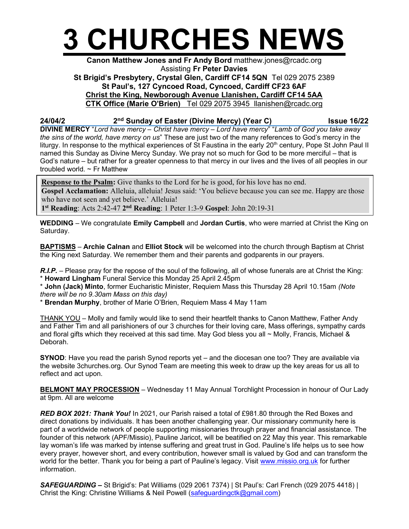

## Canon Matthew Jones and Fr Andy Bord matthew.jones@rcadc.org Assisting Fr Peter Davies St Brigid's Presbytery, Crystal Glen, Cardiff CF14 5QN Tel 029 2075 2389 St Paul's, 127 Cyncoed Road, Cyncoed, Cardiff CF23 6AF Christ the King, Newborough Avenue Llanishen, Cardiff CF14 5AA CTK Office (Marie O'Brien) Tel 029 2075 3945 llanishen@rcadc.org

24/04/2 2<sup>nd</sup> Sunday of Easter (Divine Mercy) (Year C) Issue 16/22

DIVINE MERCY "Lord have mercy – Christ have mercy – Lord have mercy" "Lamb of God you take away the sins of the world, have mercy on us" These are just two of the many references to God's mercy in the liturgy. In response to the mythical experiences of St Faustina in the early 20<sup>th</sup> century, Pope St John Paul II named this Sunday as Divine Mercy Sunday. We pray not so much for God to be more merciful – that is God's nature – but rather for a greater openness to that mercy in our lives and the lives of all peoples in our troubled world.  $\sim$  Fr Matthew

**Response to the Psalm:** Give thanks to the Lord for he is good, for his love has no end. Gospel Acclamation: Alleluia, alleluia! Jesus said: 'You believe because you can see me. Happy are those who have not seen and yet believe.' Alleluia! 1<sup>st</sup> Reading: Acts 2:42-47 2<sup>nd</sup> Reading: 1 Peter 1:3-9 Gospel: John 20:19-31

WEDDING – We congratulate Emily Campbell and Jordan Curtis, who were married at Christ the King on

BAPTISMS – Archie Calnan and Elliot Stock will be welcomed into the church through Baptism at Christ the King next Saturday. We remember them and their parents and godparents in our prayers.

R.I.P. – Please pray for the repose of the soul of the following, all of whose funerals are at Christ the King: \* Howard Lingham Funeral Service this Monday 25 April 2.45pm

\* John (Jack) Minto, former Eucharistic Minister, Requiem Mass this Thursday 28 April 10.15am (Note there will be no 9.30am Mass on this day)

\* Brendan Murphy, brother of Marie O'Brien, Requiem Mass 4 May 11am

Saturday.

THANK YOU – Molly and family would like to send their heartfelt thanks to Canon Matthew, Father Andy and Father Tim and all parishioners of our 3 churches for their loving care, Mass offerings, sympathy cards and floral gifts which they received at this sad time. May God bless you all  $\sim$  Molly, Francis, Michael & Deborah.

SYNOD: Have you read the parish Synod reports yet – and the diocesan one too? They are available via the website 3churches.org. Our Synod Team are meeting this week to draw up the key areas for us all to reflect and act upon.

BELMONT MAY PROCESSION - Wednesday 11 May Annual Torchlight Procession in honour of Our Lady at 9pm. All are welcome

RED BOX 2021: Thank You! In 2021, our Parish raised a total of £981.80 through the Red Boxes and direct donations by individuals. It has been another challenging year. Our missionary community here is part of a worldwide network of people supporting missionaries through prayer and financial assistance. The founder of this network (APF/Missio), Pauline Jaricot, will be beatified on 22 May this year. This remarkable lay woman's life was marked by intense suffering and great trust in God. Pauline's life helps us to see how every prayer, however short, and every contribution, however small is valued by God and can transform the world for the better. Thank you for being a part of Pauline's legacy. Visit www.missio.org.uk for further information.

SAFEGUARDING – St Brigid's: Pat Williams (029 2061 7374) | St Paul's: Carl French (029 2075 4418) | Christ the King: Christine Williams & Neil Powell (safeguardingctk@gmail.com)